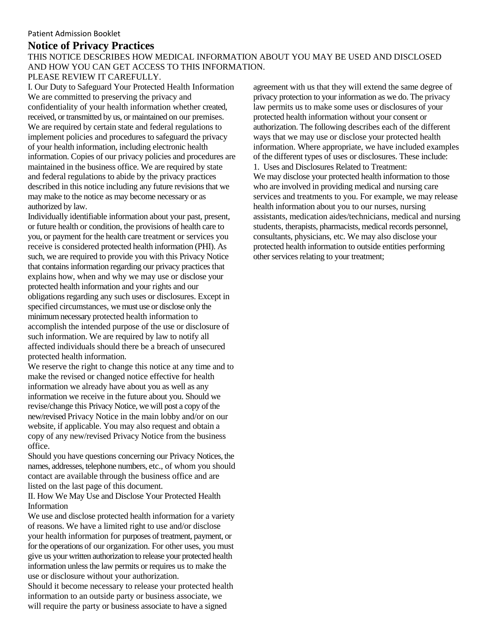# **Notice of Privacy Practices**

# THIS NOTICE DESCRIBES HOW MEDICAL INFORMATION ABOUT YOU MAY BE USED AND DISCLOSED AND HOW YOU CAN GET ACCESS TO THIS INFORMATION.

# PLEASE REVIEW IT CAREFULLY.

I. Our Duty to Safeguard Your Protected Health Information We are committed to preserving the privacy and confidentiality of your health information whether created, received, or transmitted by us, or maintained on our premises. We are required by certain state and federal regulations to implement policies and procedures to safeguard the privacy of your health information, including electronic health information. Copies of our privacy policies and procedures are maintained in the business office. We are required by state and federal regulations to abide by the privacy practices described in this notice including any future revisions that we may make to the notice as may become necessary or as authorized by law.

Individually identifiable information about your past, present, or future health or condition, the provisions of health care to you, or payment for the health care treatment or services you receive is considered protected health information (PHI). As such, we are required to provide you with this Privacy Notice that contains information regarding our privacy practices that explains how, when and why we may use or disclose your protected health information and your rights and our obligations regarding any such uses or disclosures. Except in specified circumstances, we must use or disclose only the minimum necessary protected health information to accomplish the intended purpose of the use or disclosure of such information. We are required by law to notify all affected individuals should there be a breach of unsecured protected health information.

We reserve the right to change this notice at any time and to make the revised or changed notice effective for health information we already have about you as well as any information we receive in the future about you. Should we revise/change this Privacy Notice, we will post a copy of the new/revised Privacy Notice in the main lobby and/or on our website, if applicable. You may also request and obtain a copy of any new/revised Privacy Notice from the business office.

Should you have questions concerning our Privacy Notices, the names, addresses, telephone numbers, etc., of whom you should contact are available through the business office and are listed on the last page of this document.

II. How We May Use and Disclose Your Protected Health Information

We use and disclose protected health information for a variety of reasons. We have a limited right to use and/or disclose your health information for purposes of treatment, payment, or for the operations of our organization. For other uses, you must give us your written authorization to release your protected health information unless the law permits or requires us to make the use or disclosure without your authorization.

Should it become necessary to release your protected health information to an outside party or business associate, we will require the party or business associate to have a signed

agreement with us that they will extend the same degree of privacy protection to your information as we do. The privacy law permits us to make some uses or disclosures of your protected health information without your consent or authorization. The following describes each of the different ways that we may use or disclose your protected health information. Where appropriate, we have included examples of the different types of uses or disclosures. These include: 1. Uses and Disclosures Related to Treatment: We may disclose your protected health information to those who are involved in providing medical and nursing care services and treatments to you. For example, we may release health information about you to our nurses, nursing assistants, medication aides/technicians, medical and nursing students, therapists, pharmacists, medical records personnel, consultants, physicians, etc. We may also disclose your protected health information to outside entities performing other services relating to your treatment;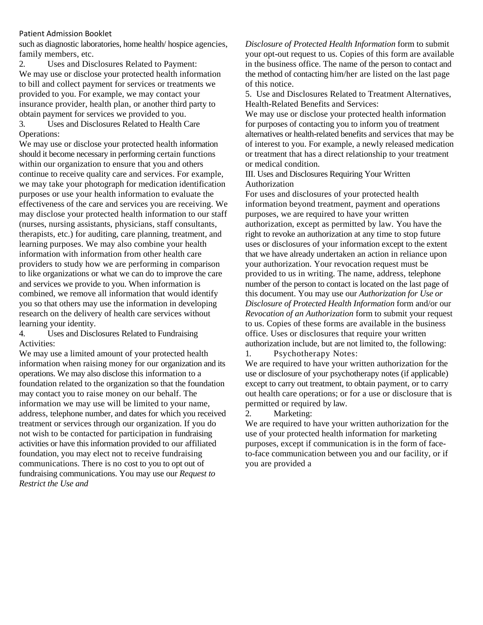such as diagnostic laboratories, home health/ hospice agencies, family members, etc.

2. Uses and Disclosures Related to Payment: We may use or disclose your protected health information to bill and collect payment for services or treatments we provided to you. For example, we may contact your insurance provider, health plan, or another third party to obtain payment for services we provided to you. 3. Uses and Disclosures Related to Health Care Operations:

We may use or disclose your protected health information should it become necessary in performing certain functions within our organization to ensure that you and others continue to receive quality care and services. For example, we may take your photograph for medication identification purposes or use your health information to evaluate the effectiveness of the care and services you are receiving. We may disclose your protected health information to our staff (nurses, nursing assistants, physicians, staff consultants, therapists, etc.) for auditing, care planning, treatment, and learning purposes. We may also combine your health information with information from other health care providers to study how we are performing in comparison to like organizations or what we can do to improve the care and services we provide to you. When information is combined, we remove all information that would identify you so that others may use the information in developing research on the delivery of health care services without learning your identity.

4. Uses and Disclosures Related to Fundraising Activities:

We may use a limited amount of your protected health information when raising money for our organization and its operations. We may also disclose this information to a foundation related to the organization so that the foundation may contact you to raise money on our behalf. The information we may use will be limited to your name, address, telephone number, and dates for which you received treatment or services through our organization. If you do not wish to be contacted for participation in fundraising activities or have this information provided to our affiliated foundation, you may elect not to receive fundraising communications. There is no cost to you to opt out of fundraising communications. You may use our *Request to Restrict the Use and*

*Disclosure of Protected Health Information* form to submit your opt-out request to us. Copies of this form are available in the business office. The name of the person to contact and the method of contacting him/her are listed on the last page of this notice.

5. Use and Disclosures Related to Treatment Alternatives, Health-Related Benefits and Services:

We may use or disclose your protected health information for purposes of contacting you to inform you of treatment alternatives or health-related benefits and services that may be of interest to you. For example, a newly released medication or treatment that has a direct relationship to your treatment or medical condition.

III. Uses and Disclosures Requiring Your Written Authorization

For uses and disclosures of your protected health information beyond treatment, payment and operations purposes, we are required to have your written authorization, except as permitted by law. You have the right to revoke an authorization at any time to stop future uses or disclosures of your information except to the extent that we have already undertaken an action in reliance upon your authorization. Your revocation request must be provided to us in writing. The name, address, telephone number of the person to contact is located on the last page of this document. You may use our *Authorization for Use or Disclosure of Protected Health Information* form and/or our *Revocation of an Authorization* form to submit your request to us. Copies of these forms are available in the business office. Uses or disclosures that require your written authorization include, but are not limited to, the following: 1. Psychotherapy Notes:

We are required to have your written authorization for the use or disclosure of your psychotherapy notes (if applicable) except to carry out treatment, to obtain payment, or to carry out health care operations; or for a use or disclosure that is permitted or required by law.

## 2. Marketing:

We are required to have your written authorization for the use of your protected health information for marketing purposes, except if communication is in the form of faceto-face communication between you and our facility, or if you are provided a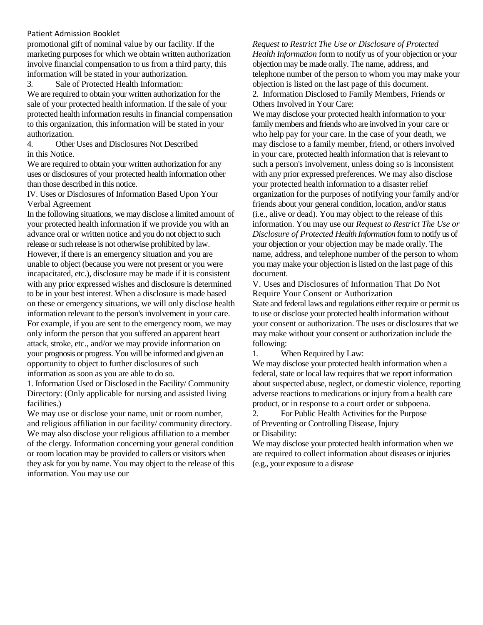promotional gift of nominal value by our facility. If the marketing purposes for which we obtain written authorization involve financial compensation to us from a third party, this information will be stated in your authorization.

3. Sale of Protected Health Information:

We are required to obtain your written authorization for the sale of your protected health information. If the sale of your protected health information results in financial compensation to this organization, this information will be stated in your authorization.

4. Other Uses and Disclosures Not Described in this Notice.

We are required to obtain your written authorization for any uses or disclosures of your protected health information other than those described in this notice.

IV. Uses or Disclosures of Information Based Upon Your Verbal Agreement

In the following situations, we may disclose a limited amount of your protected health information if we provide you with an advance oral or written notice and you do not object to such release or such release is not otherwise prohibited by law. However, if there is an emergency situation and you are unable to object (because you were not present or you were incapacitated, etc.), disclosure may be made if it is consistent with any prior expressed wishes and disclosure is determined to be in your best interest. When a disclosure is made based on these or emergency situations, we will only disclose health information relevant to the person's involvement in your care. For example, if you are sent to the emergency room, we may only inform the person that you suffered an apparent heart attack, stroke, etc., and/or we may provide information on your prognosis or progress. You will be informed and given an opportunity to object to further disclosures of such information as soon as you are able to do so.

1. Information Used or Disclosed in the Facility/ Community Directory: (Only applicable for nursing and assisted living facilities.)

We may use or disclose your name, unit or room number, and religious affiliation in our facility/ community directory. We may also disclose your religious affiliation to a member of the clergy. Information concerning your general condition or room location may be provided to callers or visitors when they ask for you by name. You may object to the release of this information. You may use our

*Request to Restrict The Use or Disclosure of Protected Health Information* form to notify us of your objection or your objection may be made orally. The name, address, and telephone number of the person to whom you may make your objection is listed on the last page of this document. 2. Information Disclosed to Family Members, Friends or Others Involved in Your Care:

We may disclose your protected health information to your family members and friends who are involved in your care or who help pay for your care. In the case of your death, we may disclose to a family member, friend, or others involved in your care, protected health information that is relevant to such a person's involvement, unless doing so is inconsistent with any prior expressed preferences. We may also disclose your protected health information to a disaster relief organization for the purposes of notifying your family and/or friends about your general condition, location, and/or status (i.e., alive or dead). You may object to the release of this information. You may use our *Request to Restrict The Use or Disclosure of Protected Health Information* form to notify us of your objection or your objection may be made orally. The name, address, and telephone number of the person to whom you may make your objection is listed on the last page of this document.

V. Uses and Disclosures of Information That Do Not Require Your Consent or Authorization

State and federal laws and regulations either require or permit us to use or disclose your protected health information without your consent or authorization. The uses or disclosures that we may make without your consent or authorization include the following:

1. When Required by Law:

We may disclose your protected health information when a federal, state or local law requires that we report information about suspected abuse, neglect, or domestic violence, reporting adverse reactions to medications or injury from a health care product, or in response to a court order or subpoena.

2. For Public Health Activities for the Purpose of Preventing or Controlling Disease, Injury or Disability:

We may disclose your protected health information when we are required to collect information about diseases or injuries (e.g., your exposure to a disease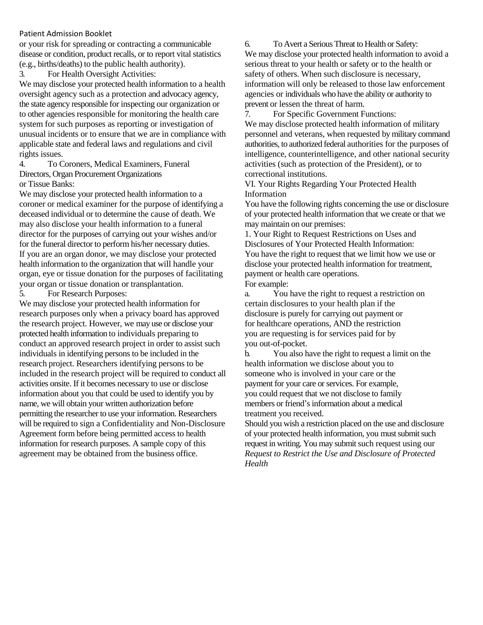or your risk for spreading or contracting a communicable disease or condition, product recalls, or to report vital statistics (e.g., births/deaths) to the public health authority).

3. For Health Oversight Activities:

We may disclose your protected health information to a health oversight agency such as a protection and advocacy agency, the state agency responsible for inspecting our organization or to other agencies responsible for monitoring the health care system for such purposes as reporting or investigation of unusual incidents or to ensure that we are in compliance with applicable state and federal laws and regulations and civil rights issues.

4. To Coroners, Medical Examiners, Funeral Directors, Organ Procurement Organizations or Tissue Banks:

We may disclose your protected health information to a coroner or medical examiner for the purpose of identifying a deceased individual or to determine the cause of death. We may also disclose your health information to a funeral director for the purposes of carrying out your wishes and/or for the funeral director to perform his/her necessary duties. If you are an organ donor, we may disclose your protected health information to the organization that will handle your organ, eye or tissue donation for the purposes of facilitating your organ or tissue donation or transplantation.

5. For Research Purposes:

We may disclose your protected health information for research purposes only when a privacy board has approved the research project. However, we may use or disclose your protected health information to individuals preparing to conduct an approved research project in order to assist such individuals in identifying persons to be included in the research project. Researchers identifying persons to be included in the research project will be required to conduct all activities onsite. If it becomes necessary to use or disclose information about you that could be used to identify you by name, we will obtain your written authorization before permitting the researcher to use your information. Researchers will be required to sign a Confidentiality and Non-Disclosure Agreement form before being permitted access to health information for research purposes. A sample copy of this agreement may be obtained from the business office.

6. To Avert a Serious Threat to Health or Safety: We may disclose your protected health information to avoid a serious threat to your health or safety or to the health or safety of others. When such disclosure is necessary, information will only be released to those law enforcement agencies or individuals who have the ability or authority to prevent or lessen the threat of harm.

7. For Specific Government Functions: We may disclose protected health information of military personnel and veterans, when requested by military command authorities, to authorized federal authorities for the purposes of intelligence, counterintelligence, and other national security activities (such as protection of the President), or to correctional institutions.

VI. Your Rights Regarding Your Protected Health Information

You have the following rights concerning the use or disclosure of your protected health information that we create or that we may maintain on our premises:

1. Your Right to Request Restrictions on Uses and Disclosures of Your Protected Health Information: You have the right to request that we limit how we use or disclose your protected health information for treatment, payment or health care operations. For example:

a. You have the right to request a restriction on certain disclosures to your health plan if the disclosure is purely for carrying out payment or for healthcare operations, AND the restriction you are requesting is for services paid for by you out-of-pocket.

b. You also have the right to request a limit on the health information we disclose about you to someone who is involved in your care or the payment for your care or services. For example, you could request that we not disclose to family members or friend's information about a medical treatment you received.

Should you wish a restriction placed on the use and disclosure of your protected health information, you must submit such request in writing. You may submit such request using our *Request to Restrict the Use and Disclosure of Protected Health*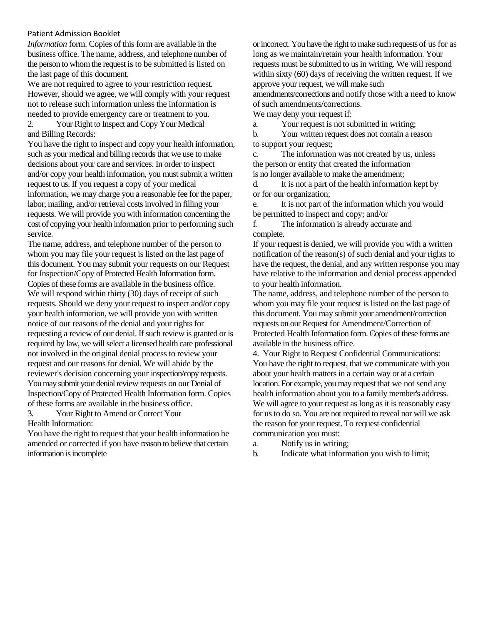*Information* form. Copies of this form are available in the business office. The name, address, and telephone number of the person to whom the request is to be submitted is listed on the last page of this document.

We are not required to agree to your restriction request. However, should we agree, we will comply with your request not to release such information unless the information is needed to provide emergency care or treatment to you.

2. Your Right to Inspect and Copy Your Medical and Billing Records:

You have the right to inspect and copy your health information, such as your medical and billing records that we use to make decisions about your care and services. In order to inspect and/or copy your health information, you must submit a written request to us. If you request a copy of your medical information, we may charge you a reasonable fee for the paper, labor, mailing, and/or retrieval costs involved in filling your requests. We will provide you with information concerning the cost of copying your health information prior to performing such service.

The name, address, and telephone number of the person to whom you may file your request is listed on the last page of this document. You may submit your requests on our Request for Inspection/Copy of Protected Health Information form. Copies of these forms are available in the business office. We will respond within thirty (30) days of receipt of such requests. Should we deny your request to inspect and/or copy your health information, we will provide you with written notice of our reasons of the denial and your rights for requesting a review of our denial. If such review is granted or is required by law, we will select a licensed health care professional not involved in the original denial process to review your request and our reasons for denial. We will abide by the reviewer's decision concerning your inspection/copy requests. You may submit your denial review requests on our Denial of Inspection/Copy of Protected Health Information form. Copies of these forms are available in the business office. 3. Your Right to Amend or Correct Your

Health Information:

You have the right to request that your health information be amended or corrected if you have reason to believe that certain information is incomplete

or incorrect. You have the right to make such requests of us for as long as we maintain/retain your health information. Your requests must be submitted to us in writing. We will respond within sixty (60) days of receiving the written request. If we approve your request, we will make such amendments/corrections and notify those with a need to know of such amendments/corrections.

We may deny your request if:

a. Your request is not submitted in writing;

b. Your written request does not contain a reason to support your request;

c. The information was not created by us, unless the person or entity that created the information is no longer available to make the amendment;

d. It is not a part of the health information kept by or for our organization;

e. It is not part of the information which you would be permitted to inspect and copy; and/or

f. The information is already accurate and complete.

If your request is denied, we will provide you with a written notification of the reason(s) of such denial and your rights to have the request, the denial, and any written response you may have relative to the information and denial process appended to your health information.

The name, address, and telephone number of the person to whom you may file your request is listed on the last page of this document. You may submit your amendment/correction requests on our Request for Amendment/Correction of Protected Health Information form. Copies of these forms are available in the business office.

4. Your Right to Request Confidential Communications: You have the right to request, that we communicate with you about your health matters in a certain way or at a certain location. For example, you may request that we not send any health information about you to a family member's address. We will agree to your request as long as it is reasonably easy for us to do so. You are not required to reveal nor will we ask the reason for your request. To request confidential communication you must:

- a. Notify us in writing;
- b. Indicate what information you wish to limit;